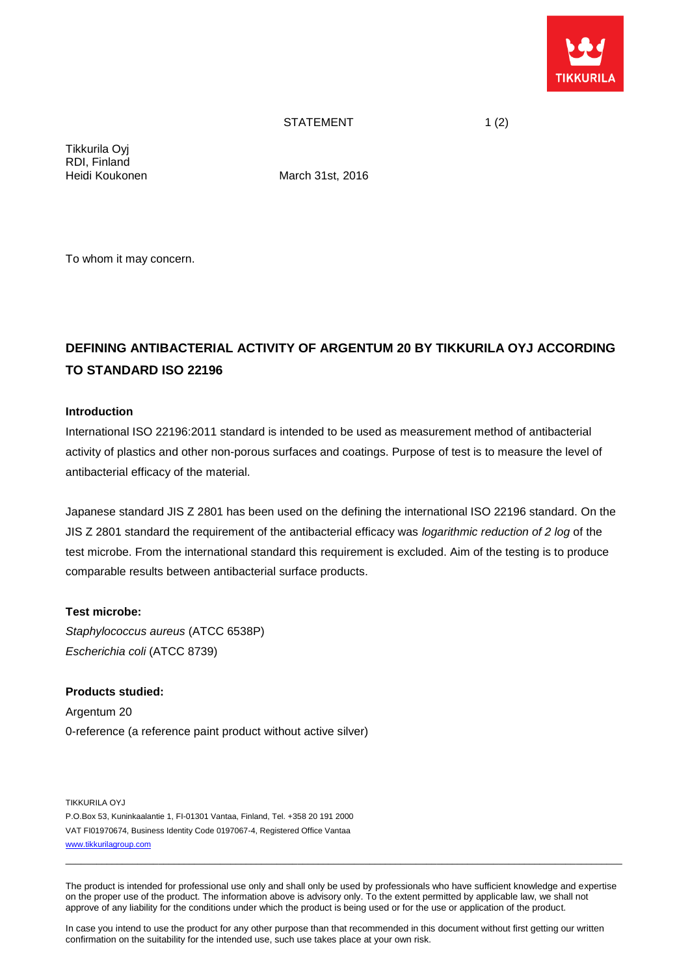

# STATEMENT 1(2)

Tikkurila Oyj RDI, Finland

Heidi Koukonen March 31st, 2016

To whom it may concern.

# **DEFINING ANTIBACTERIAL ACTIVITY OF ARGENTUM 20 BY TIKKURILA OYJ ACCORDING TO STANDARD ISO 22196**

## **Introduction**

International ISO 22196:2011 standard is intended to be used as measurement method of antibacterial activity of plastics and other non-porous surfaces and coatings. Purpose of test is to measure the level of antibacterial efficacy of the material.

Japanese standard JIS Z 2801 has been used on the defining the international ISO 22196 standard. On the JIS Z 2801 standard the requirement of the antibacterial efficacy was *logarithmic reduction of 2 log* of the test microbe. From the international standard this requirement is excluded. Aim of the testing is to produce comparable results between antibacterial surface products.

#### **Test microbe:**

*Staphylococcus aureus* (ATCC 6538P) *Escherichia coli* (ATCC 8739)

**Products studied:** Argentum 20 0-reference (a reference paint product without active silver)

TIKKURILA OYJ P.O.Box 53, Kuninkaalantie 1, FI-01301 Vantaa, Finland, Tel. +358 20 191 2000 VAT FI01970674, Business Identity Code 0197067-4, Registered Office Vantaa [www.tikkurilagroup.com](http://www.tikkurilagroup.com/)

The product is intended for professional use only and shall only be used by professionals who have sufficient knowledge and expertise on the proper use of the product. The information above is advisory only. To the extent permitted by applicable law, we shall not approve of any liability for the conditions under which the product is being used or for the use or application of the product.

\_\_\_\_\_\_\_\_\_\_\_\_\_\_\_\_\_\_\_\_\_\_\_\_\_\_\_\_\_\_\_\_\_\_\_\_\_\_\_\_\_\_\_\_\_\_\_\_\_\_\_\_\_\_\_\_\_\_\_\_\_\_\_\_\_\_\_\_\_\_\_\_\_\_\_\_\_\_\_\_\_\_\_\_\_\_\_\_\_\_\_\_\_\_\_\_\_\_\_\_\_\_\_\_\_\_\_\_

In case you intend to use the product for any other purpose than that recommended in this document without first getting our written confirmation on the suitability for the intended use, such use takes place at your own risk.